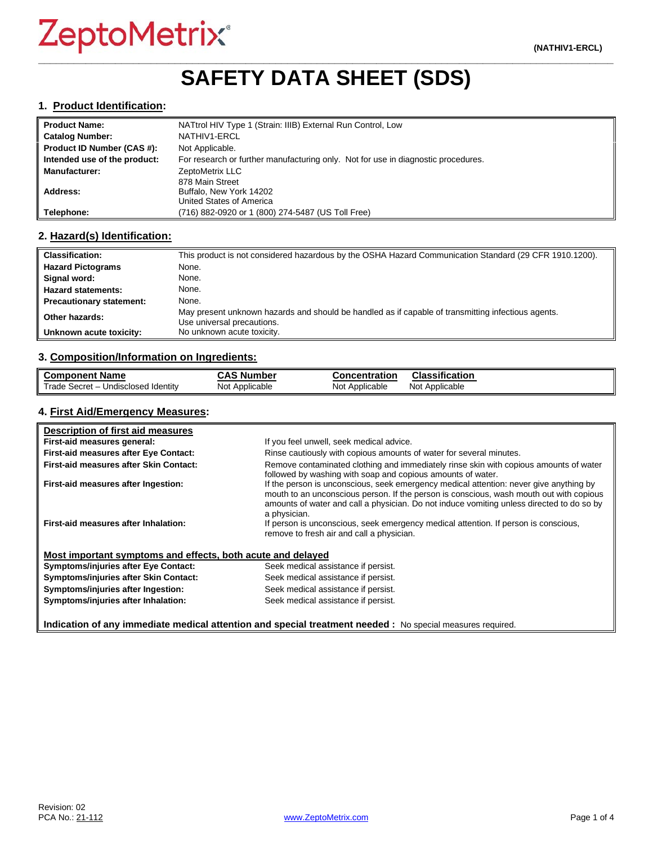# **\_\_\_\_\_\_\_\_\_\_\_\_\_\_\_\_\_\_\_\_\_\_\_\_\_\_\_\_\_\_\_\_\_\_\_\_\_\_\_\_\_\_\_\_\_\_\_\_\_\_\_\_\_\_\_\_\_\_\_\_\_\_\_\_\_\_\_\_\_\_\_\_\_\_\_\_\_\_\_\_\_\_\_\_\_\_\_\_\_\_\_\_\_\_\_\_\_ SAFETY DATA SHEET (SDS)**

#### **1. Product Identification:**

| <b>Product Name:</b>         | NATtrol HIV Type 1 (Strain: IIIB) External Run Control, Low                       |
|------------------------------|-----------------------------------------------------------------------------------|
| <b>Catalog Number:</b>       | NATHIV1-ERCL                                                                      |
| Product ID Number (CAS #):   | Not Applicable.                                                                   |
| Intended use of the product: | For research or further manufacturing only. Not for use in diagnostic procedures. |
| <b>Manufacturer:</b>         | ZeptoMetrix LLC                                                                   |
|                              | 878 Main Street                                                                   |
| Address:                     | Buffalo, New York 14202                                                           |
|                              | United States of America                                                          |
| Telephone:                   | (716) 882-0920 or 1 (800) 274-5487 (US Toll Free)                                 |

#### **2. Hazard(s) Identification:**

| <b>Classification:</b>          | This product is not considered hazardous by the OSHA Hazard Communication Standard (29 CFR 1910.1200).                           |
|---------------------------------|----------------------------------------------------------------------------------------------------------------------------------|
| <b>Hazard Pictograms</b>        | None.                                                                                                                            |
| Signal word:                    | None.                                                                                                                            |
| <b>Hazard statements:</b>       | None.                                                                                                                            |
| <b>Precautionary statement:</b> | None.                                                                                                                            |
| Other hazards:                  | May present unknown hazards and should be handled as if capable of transmitting infectious agents.<br>Use universal precautions. |
| Unknown acute toxicity:         | No unknown acute toxicity.                                                                                                       |

#### **3. Composition/Information on Ingredients:**

| <b>Component Name</b>               | <b>CAS Number</b> | Concentration  | <b>Classification</b> |
|-------------------------------------|-------------------|----------------|-----------------------|
| Trade Secret - Undisclosed Identity | Not Applicable    | Not Applicable | Not Applicable        |

#### **4. First Aid/Emergency Measures:**

| Description of first aid measures                           |                                                                                                                                                                                                                                                                                                |
|-------------------------------------------------------------|------------------------------------------------------------------------------------------------------------------------------------------------------------------------------------------------------------------------------------------------------------------------------------------------|
| First-aid measures general:                                 | If you feel unwell, seek medical advice.                                                                                                                                                                                                                                                       |
| <b>First-aid measures after Eye Contact:</b>                | Rinse cautiously with copious amounts of water for several minutes.                                                                                                                                                                                                                            |
| <b>First-aid measures after Skin Contact:</b>               | Remove contaminated clothing and immediately rinse skin with copious amounts of water<br>followed by washing with soap and copious amounts of water.                                                                                                                                           |
| First-aid measures after Ingestion:                         | If the person is unconscious, seek emergency medical attention: never give anything by<br>mouth to an unconscious person. If the person is conscious, wash mouth out with copious<br>amounts of water and call a physician. Do not induce vomiting unless directed to do so by<br>a physician. |
| First-aid measures after Inhalation:                        | If person is unconscious, seek emergency medical attention. If person is conscious,<br>remove to fresh air and call a physician.                                                                                                                                                               |
| Most important symptoms and effects, both acute and delayed |                                                                                                                                                                                                                                                                                                |
| <b>Symptoms/injuries after Eye Contact:</b>                 | Seek medical assistance if persist.                                                                                                                                                                                                                                                            |
| Symptoms/injuries after Skin Contact:                       | Seek medical assistance if persist.                                                                                                                                                                                                                                                            |
| Symptoms/injuries after Ingestion:                          | Seek medical assistance if persist.                                                                                                                                                                                                                                                            |
| Symptoms/injuries after Inhalation:                         | Seek medical assistance if persist.                                                                                                                                                                                                                                                            |

**Indication of any immediate medical attention and special treatment needed :** No special measures required.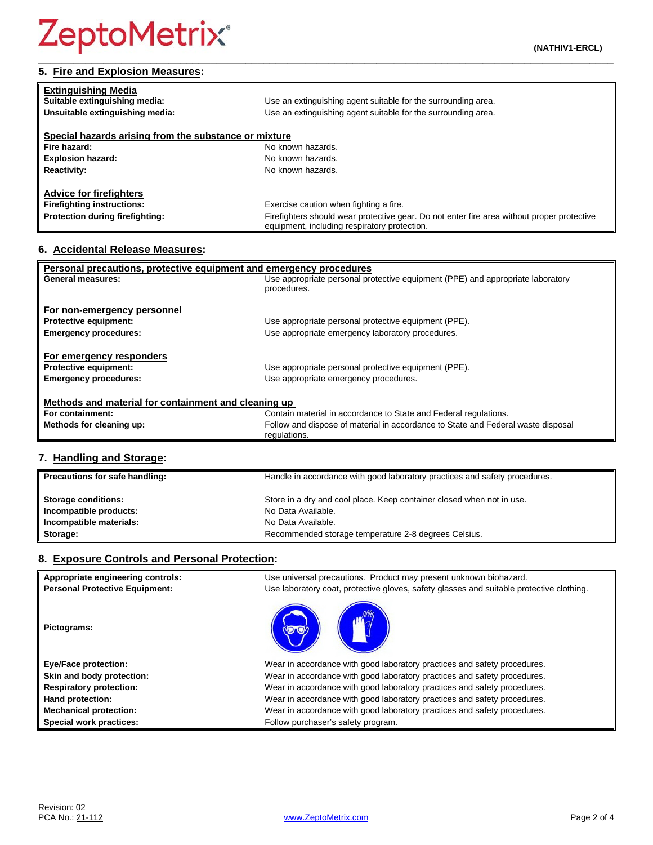| <b>Extinguishing Media</b>                            |                                                                                            |  |
|-------------------------------------------------------|--------------------------------------------------------------------------------------------|--|
| Suitable extinguishing media:                         | Use an extinguishing agent suitable for the surrounding area.                              |  |
| Unsuitable extinguishing media:                       | Use an extinguishing agent suitable for the surrounding area.                              |  |
| Special hazards arising from the substance or mixture |                                                                                            |  |
| Fire hazard:                                          | No known hazards.                                                                          |  |
| <b>Explosion hazard:</b>                              | No known hazards.                                                                          |  |
| <b>Reactivity:</b>                                    | No known hazards.                                                                          |  |
| <b>Advice for firefighters</b>                        |                                                                                            |  |
| <b>Firefighting instructions:</b>                     | Exercise caution when fighting a fire.                                                     |  |
| <b>Protection during firefighting:</b>                | Firefighters should wear protective gear. Do not enter fire area without proper protective |  |

equipment, including respiratory protection.

#### **6. Accidental Release Measures:**

| Personal precautions, protective equipment and emergency procedures |                                                                                  |  |
|---------------------------------------------------------------------|----------------------------------------------------------------------------------|--|
| General measures:                                                   | Use appropriate personal protective equipment (PPE) and appropriate laboratory   |  |
|                                                                     | procedures.                                                                      |  |
| For non-emergency personnel                                         |                                                                                  |  |
|                                                                     |                                                                                  |  |
| <b>Protective equipment:</b>                                        | Use appropriate personal protective equipment (PPE).                             |  |
| <b>Emergency procedures:</b>                                        | Use appropriate emergency laboratory procedures.                                 |  |
|                                                                     |                                                                                  |  |
| For emergency responders                                            |                                                                                  |  |
| <b>Protective equipment:</b>                                        | Use appropriate personal protective equipment (PPE).                             |  |
| <b>Emergency procedures:</b>                                        | Use appropriate emergency procedures.                                            |  |
|                                                                     |                                                                                  |  |
| Methods and material for containment and cleaning up                |                                                                                  |  |
| For containment:                                                    | Contain material in accordance to State and Federal regulations.                 |  |
| Methods for cleaning up:                                            | Follow and dispose of material in accordance to State and Federal waste disposal |  |
|                                                                     | regulations.                                                                     |  |
|                                                                     |                                                                                  |  |

# **7. Handling and Storage:**

| Precautions for safe handling: | Handle in accordance with good laboratory practices and safety procedures. |
|--------------------------------|----------------------------------------------------------------------------|
| <b>Storage conditions:</b>     | Store in a dry and cool place. Keep container closed when not in use.      |
| Incompatible products:         | No Data Available.                                                         |
| Incompatible materials:        | No Data Available.                                                         |
| Storage:                       | Recommended storage temperature 2-8 degrees Celsius.                       |

#### **8. Exposure Controls and Personal Protection:**

| Appropriate engineering controls:     | Use universal precautions. Product may present unknown biohazard.                        |
|---------------------------------------|------------------------------------------------------------------------------------------|
| <b>Personal Protective Equipment:</b> | Use laboratory coat, protective gloves, safety glasses and suitable protective clothing. |
| Pictograms:                           |                                                                                          |
| <b>Eye/Face protection:</b>           | Wear in accordance with good laboratory practices and safety procedures.                 |
| Skin and body protection:             | Wear in accordance with good laboratory practices and safety procedures.                 |
| <b>Respiratory protection:</b>        | Wear in accordance with good laboratory practices and safety procedures.                 |
| Hand protection:                      | Wear in accordance with good laboratory practices and safety procedures.                 |
| <b>Mechanical protection:</b>         | Wear in accordance with good laboratory practices and safety procedures.                 |
| Special work practices:               | Follow purchaser's safety program.                                                       |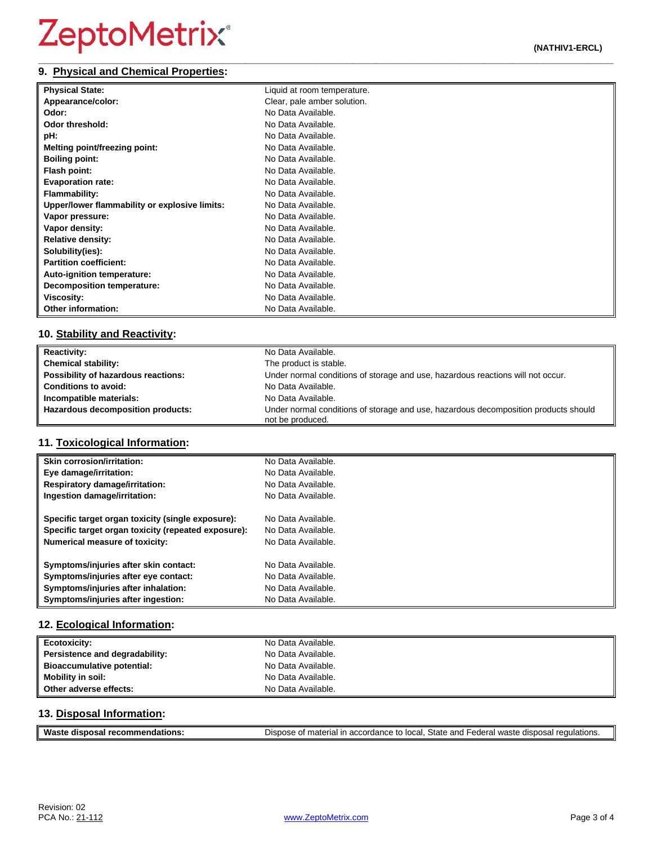#### **\_\_\_\_\_\_\_\_\_\_\_\_\_\_\_\_\_\_\_\_\_\_\_\_\_\_\_\_\_\_\_\_\_\_\_\_\_\_\_\_\_\_\_\_\_\_\_\_\_\_\_\_\_\_\_\_\_\_\_\_\_\_\_\_\_\_\_\_\_\_\_\_\_\_\_\_\_\_\_\_\_\_\_\_\_\_\_\_\_\_\_\_\_\_\_\_\_ 9. Physical and Chemical Properties:**

| <b>Physical State:</b>                        | Liquid at room temperature. |
|-----------------------------------------------|-----------------------------|
| Appearance/color:                             | Clear, pale amber solution. |
| Odor:                                         | No Data Available.          |
| <b>Odor threshold:</b>                        | No Data Available.          |
| pH:                                           | No Data Available.          |
| Melting point/freezing point:                 | No Data Available.          |
| <b>Boiling point:</b>                         | No Data Available.          |
| Flash point:                                  | No Data Available.          |
| <b>Evaporation rate:</b>                      | No Data Available.          |
| <b>Flammability:</b>                          | No Data Available.          |
| Upper/lower flammability or explosive limits: | No Data Available.          |
| Vapor pressure:                               | No Data Available.          |
| Vapor density:                                | No Data Available.          |
| <b>Relative density:</b>                      | No Data Available.          |
| Solubility(ies):                              | No Data Available.          |
| <b>Partition coefficient:</b>                 | No Data Available.          |
| Auto-ignition temperature:                    | No Data Available.          |
| Decomposition temperature:                    | No Data Available.          |
| Viscosity:                                    | No Data Available.          |
| <b>Other information:</b>                     | No Data Available.          |

### **10. Stability and Reactivity:**

| <b>Reactivity:</b>                  | No Data Available.                                                                                      |
|-------------------------------------|---------------------------------------------------------------------------------------------------------|
| <b>Chemical stability:</b>          | The product is stable.                                                                                  |
| Possibility of hazardous reactions: | Under normal conditions of storage and use, hazardous reactions will not occur.                         |
| <b>Conditions to avoid:</b>         | No Data Available.                                                                                      |
| Incompatible materials:             | No Data Available.                                                                                      |
| Hazardous decomposition products:   | Under normal conditions of storage and use, hazardous decomposition products should<br>not be produced. |

### **11. Toxicological Information:**

| <b>Skin corrosion/irritation:</b>                   | No Data Available. |
|-----------------------------------------------------|--------------------|
| Eye damage/irritation:                              | No Data Available. |
| <b>Respiratory damage/irritation:</b>               | No Data Available. |
| Ingestion damage/irritation:                        | No Data Available. |
| Specific target organ toxicity (single exposure):   | No Data Available. |
| Specific target organ toxicity (repeated exposure): | No Data Available. |
| <b>Numerical measure of toxicity:</b>               | No Data Available. |
| Symptoms/injuries after skin contact:               | No Data Available. |
| Symptoms/injuries after eye contact:                | No Data Available. |
| Symptoms/injuries after inhalation:                 | No Data Available. |
| Symptoms/injuries after ingestion:                  | No Data Available. |

### **12. Ecological Information:**

| <b>Ecotoxicity:</b>               | No Data Available. |
|-----------------------------------|--------------------|
| Persistence and degradability:    | No Data Available. |
| <b>Bioaccumulative potential:</b> | No Data Available. |
| Mobility in soil:                 | No Data Available. |
| Other adverse effects:            | No Data Available. |

### **13. Disposal Information:**

| Waste              | e of material in accordance to local. State and Federal waste o |
|--------------------|-----------------------------------------------------------------|
| ! recommendations: | disposal regulations.                                           |
| disposal           | Jispose                                                         |